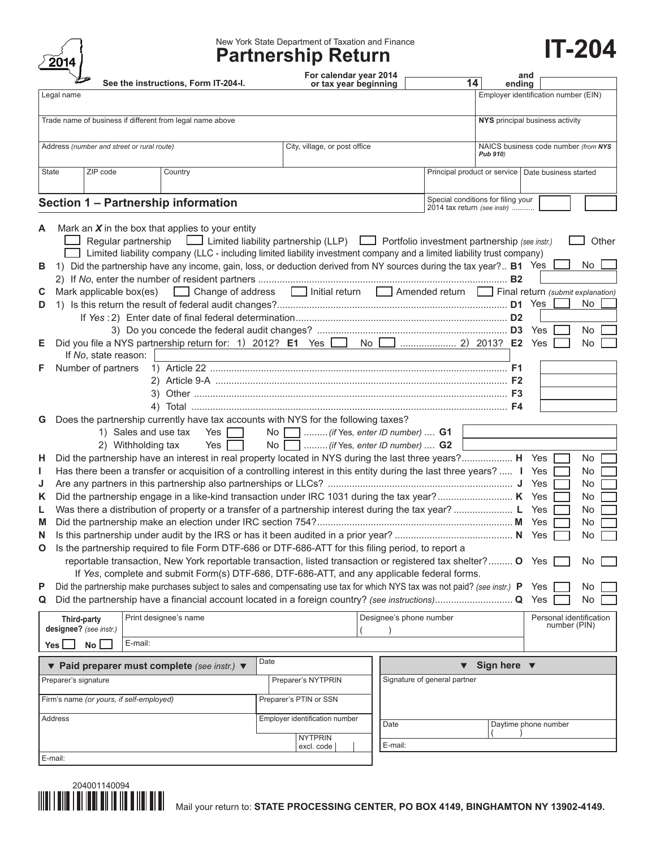| 2<br>U | 14 |
|--------|----|
|        |    |

# New York State Department of Taxation and Finance **Partnership Return IT-204**

| $\sim$<br>See the instructions, Form IT-204-I.                                                                                               | For calendar year 2014<br>or tax year beginning | and<br>14<br>ending                                               |  |  |  |
|----------------------------------------------------------------------------------------------------------------------------------------------|-------------------------------------------------|-------------------------------------------------------------------|--|--|--|
| Legal name                                                                                                                                   |                                                 | Employer identification number (EIN)                              |  |  |  |
| Trade name of business if different from legal name above                                                                                    |                                                 | NYS principal business activity                                   |  |  |  |
|                                                                                                                                              |                                                 |                                                                   |  |  |  |
| Address (number and street or rural route)                                                                                                   | City, village, or post office                   | NAICS business code number (from NYS<br>Pub 910)                  |  |  |  |
| ZIP code<br>State<br>Country                                                                                                                 |                                                 | Principal product or service   Date business started              |  |  |  |
|                                                                                                                                              |                                                 |                                                                   |  |  |  |
| Section 1 - Partnership information                                                                                                          |                                                 | Special conditions for filing your<br>2014 tax return (see instr) |  |  |  |
| Mark an $X$ in the box that applies to your entity<br>A                                                                                      |                                                 |                                                                   |  |  |  |
| Regular partnership $\Box$ Limited liability partnership (LLP) $\Box$ Portfolio investment partnership (see instr.)                          |                                                 | Other                                                             |  |  |  |
| Limited liability company (LLC - including limited liability investment company and a limited liability trust company)                       |                                                 |                                                                   |  |  |  |
| 1) Did the partnership have any income, gain, loss, or deduction derived from NY sources during the tax year? B1 Yes<br>в                    |                                                 | No                                                                |  |  |  |
|                                                                                                                                              |                                                 |                                                                   |  |  |  |
| Mark applicable box(es)<br>Change of address<br>Initial return<br>Initial return<br>Amended return<br>Final return (submit explanation)<br>C |                                                 |                                                                   |  |  |  |
| D                                                                                                                                            |                                                 | No                                                                |  |  |  |
|                                                                                                                                              |                                                 | No<br>Yes                                                         |  |  |  |
| Е                                                                                                                                            |                                                 | Yes<br>No.                                                        |  |  |  |
| If No, state reason:                                                                                                                         |                                                 |                                                                   |  |  |  |
| Number of partners<br>F.                                                                                                                     |                                                 |                                                                   |  |  |  |
|                                                                                                                                              |                                                 |                                                                   |  |  |  |
|                                                                                                                                              |                                                 |                                                                   |  |  |  |
|                                                                                                                                              |                                                 |                                                                   |  |  |  |
| Does the partnership currently have tax accounts with NYS for the following taxes?<br>G<br>1) Sales and use tax<br>Yes $\Box$                | No Morrow (if Yes, enter ID number)  G1         |                                                                   |  |  |  |
| Yes $\lceil$<br>2) Withholding tax                                                                                                           | No Morrow (if Yes, enter ID number)  G2         |                                                                   |  |  |  |
| Did the partnership have an interest in real property located in NYS during the last three years? H Yes<br>н.                                |                                                 | No                                                                |  |  |  |
| Has there been a transfer or acquisition of a controlling interest in this entity during the last three years?  I Yes<br>L                   |                                                 | No.                                                               |  |  |  |
| J                                                                                                                                            |                                                 | No.                                                               |  |  |  |
| K                                                                                                                                            |                                                 | No                                                                |  |  |  |
| L                                                                                                                                            |                                                 | No.                                                               |  |  |  |
| M<br>N                                                                                                                                       |                                                 | No<br>No                                                          |  |  |  |
| Is the partnership required to file Form DTF-686 or DTF-686-ATT for this filing period, to report a<br>O                                     |                                                 |                                                                   |  |  |  |
| reportable transaction, New York reportable transaction, listed transaction or registered tax shelter? O Yes                                 |                                                 | No.                                                               |  |  |  |
| If Yes, complete and submit Form(s) DTF-686, DTF-686-ATT, and any applicable federal forms.                                                  |                                                 |                                                                   |  |  |  |
| Did the partnership make purchases subject to sales and compensating use tax for which NYS tax was not paid? (see instr.) P Yes<br>P         |                                                 | No                                                                |  |  |  |
| Q                                                                                                                                            |                                                 | No                                                                |  |  |  |
| Print designee's name<br><b>Third-party</b>                                                                                                  | Designee's phone number                         | Personal identification<br>number (PIN)                           |  |  |  |
| designee? (see instr.)                                                                                                                       |                                                 |                                                                   |  |  |  |
| E-mail:<br>No l<br>Yes L                                                                                                                     |                                                 |                                                                   |  |  |  |
| ▼ Paid preparer must complete (see instr.) ▼                                                                                                 | Date                                            | Sign here $\blacktriangledown$                                    |  |  |  |
| Preparer's signature                                                                                                                         | Preparer's NYTPRIN                              | Signature of general partner                                      |  |  |  |
| Firm's name (or yours, if self-employed)                                                                                                     | Preparer's PTIN or SSN                          |                                                                   |  |  |  |
| Address                                                                                                                                      | Employer identification number<br>Date          | Daytime phone number                                              |  |  |  |
|                                                                                                                                              | <b>NYTPRIN</b><br>E-mail:<br>excl. code         |                                                                   |  |  |  |
| E-mail:                                                                                                                                      |                                                 |                                                                   |  |  |  |

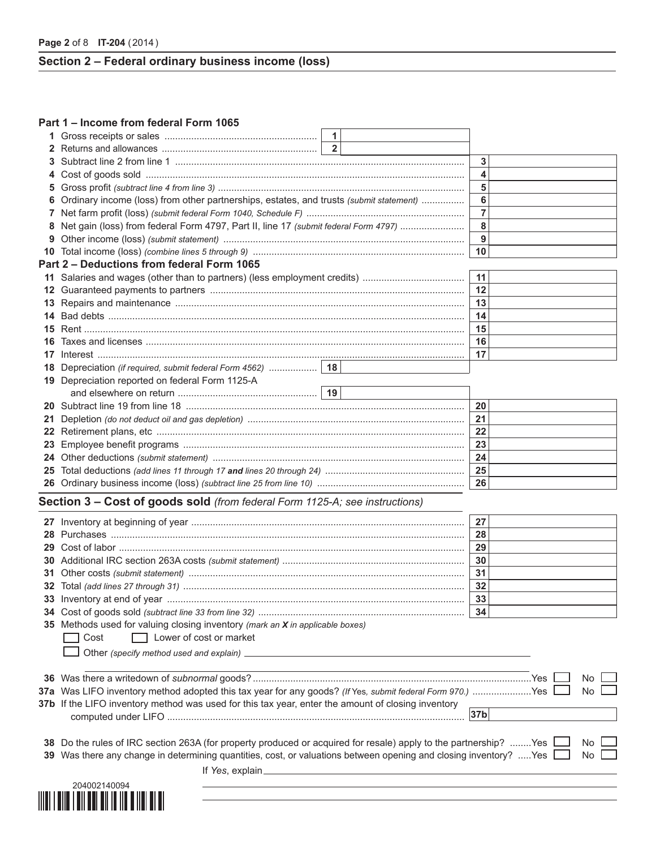**Page 2** of 8 **IT-204** (2014)

# **Section 2 – Federal ordinary business income (loss)**

#### **Part 1 – Income from federal Form 1065**

|     |                                                                                                                       | $\mathbf{1}$   |                 |      |
|-----|-----------------------------------------------------------------------------------------------------------------------|----------------|-----------------|------|
|     |                                                                                                                       | 2 <sup>1</sup> |                 |      |
| 3   |                                                                                                                       |                | 3               |      |
| 4   |                                                                                                                       |                | 4               |      |
| 5   |                                                                                                                       |                | 5               |      |
|     | Ordinary income (loss) from other partnerships, estates, and trusts (submit statement)                                |                | 6               |      |
|     |                                                                                                                       |                | $\overline{7}$  |      |
|     | Net gain (loss) from federal Form 4797, Part II, line 17 (submit federal Form 4797)                                   |                | 8               |      |
| 9   |                                                                                                                       |                | 9               |      |
|     |                                                                                                                       |                | 10              |      |
|     | Part 2 - Deductions from federal Form 1065                                                                            |                |                 |      |
|     |                                                                                                                       |                | 11              |      |
|     |                                                                                                                       |                | 12              |      |
|     |                                                                                                                       |                | 13              |      |
|     |                                                                                                                       |                | 14              |      |
|     |                                                                                                                       |                | 15              |      |
| 16. |                                                                                                                       |                | 16              |      |
|     |                                                                                                                       |                | 17              |      |
|     |                                                                                                                       |                |                 |      |
| 18  |                                                                                                                       |                |                 |      |
|     | 19 Depreciation reported on federal Form 1125-A                                                                       |                |                 |      |
|     |                                                                                                                       |                |                 |      |
|     |                                                                                                                       |                | 20              |      |
| 21  |                                                                                                                       |                | 21              |      |
|     |                                                                                                                       |                | 22              |      |
|     |                                                                                                                       |                | 23              |      |
|     |                                                                                                                       |                | 24              |      |
|     |                                                                                                                       |                | 25              |      |
|     |                                                                                                                       |                | 26              |      |
|     | Section 3 - Cost of goods sold (from federal Form 1125-A; see instructions)                                           |                |                 |      |
|     |                                                                                                                       |                |                 |      |
|     |                                                                                                                       |                | 27              |      |
|     |                                                                                                                       |                | 28              |      |
|     |                                                                                                                       |                | 29              |      |
|     |                                                                                                                       |                | 30              |      |
|     |                                                                                                                       |                | 31              |      |
|     |                                                                                                                       |                | 32              |      |
|     |                                                                                                                       |                | 33              |      |
|     |                                                                                                                       |                |                 |      |
|     | 35 Methods used for valuing closing inventory (mark an X in applicable boxes)                                         |                |                 |      |
|     | Lower of cost or market<br>Cost                                                                                       |                |                 |      |
|     |                                                                                                                       |                |                 |      |
|     |                                                                                                                       |                |                 |      |
|     |                                                                                                                       |                |                 | No   |
|     | 37a Was LIFO inventory method adopted this tax year for any goods? (if Yes, submit federal Form 970.) Yes             |                |                 | No   |
|     | 37b If the LIFO inventory method was used for this tax year, enter the amount of closing inventory                    |                |                 |      |
|     |                                                                                                                       |                | 37 <sub>b</sub> |      |
|     |                                                                                                                       |                |                 |      |
|     | 38 Do the rules of IRC section 263A (for property produced or acquired for resale) apply to the partnership?  Yes<br> |                |                 | No L |

| <b>38</b> Do the rules of IRC section 263A (for property produced or acquired for resale) apply to the partnership? Yes <b>L</b> No <b>L</b> |  |
|----------------------------------------------------------------------------------------------------------------------------------------------|--|
| 39 Was there any change in determining quantities, cost, or valuations between opening and closing inventory? Yes<br>No                      |  |
|                                                                                                                                              |  |

If *Yes*, explain

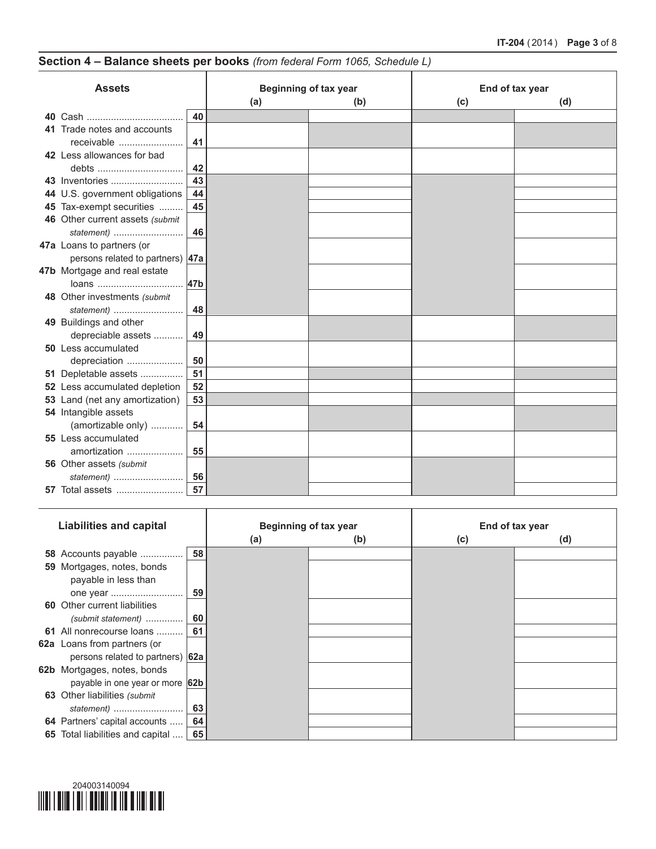# **Section 4 – Balance sheets per books** *(from federal Form 1065, Schedule L)*

T

| <b>Assets</b> |                                                               |     | <b>Beginning of tax year</b> |     | End of tax year |     |  |  |
|---------------|---------------------------------------------------------------|-----|------------------------------|-----|-----------------|-----|--|--|
|               |                                                               |     | (a)                          | (b) | (c)             | (d) |  |  |
|               |                                                               | 40  |                              |     |                 |     |  |  |
|               | 41 Trade notes and accounts<br>receivable                     | 41  |                              |     |                 |     |  |  |
|               | 42 Less allowances for bad<br>debts                           | 42  |                              |     |                 |     |  |  |
|               | 43 Inventories                                                | 43  |                              |     |                 |     |  |  |
|               | 44 U.S. government obligations                                | 44  |                              |     |                 |     |  |  |
|               | 45 Tax-exempt securities                                      | 45  |                              |     |                 |     |  |  |
|               | 46 Other current assets (submit<br>statement)                 | 46  |                              |     |                 |     |  |  |
|               | 47a Loans to partners (or<br>persons related to partners) 47a |     |                              |     |                 |     |  |  |
|               | 47b Mortgage and real estate<br>loans                         | 47b |                              |     |                 |     |  |  |
|               | 48 Other investments (submit<br>statement)                    | 48  |                              |     |                 |     |  |  |
|               | 49 Buildings and other<br>depreciable assets                  | 49  |                              |     |                 |     |  |  |
|               | 50 Less accumulated<br>depreciation                           | 50  |                              |     |                 |     |  |  |
|               | 51 Depletable assets                                          | 51  |                              |     |                 |     |  |  |
|               | 52 Less accumulated depletion                                 | 52  |                              |     |                 |     |  |  |
|               | 53 Land (net any amortization)                                | 53  |                              |     |                 |     |  |  |
|               | 54 Intangible assets<br>(amortizable only)                    | 54  |                              |     |                 |     |  |  |
|               | 55 Less accumulated<br>amortization                           | 55  |                              |     |                 |     |  |  |
|               | 56 Other assets (submit<br>statement)                         | 56  |                              |     |                 |     |  |  |
|               | <b>57</b> Total assets                                        | 57  |                              |     |                 |     |  |  |

| <b>Liabilities and capital</b>      |    | <b>Beginning of tax year</b> |     | End of tax year |     |
|-------------------------------------|----|------------------------------|-----|-----------------|-----|
|                                     |    | (a)                          | (b) | (c)             | (d) |
| 58 Accounts payable                 | 58 |                              |     |                 |     |
| 59 Mortgages, notes, bonds          |    |                              |     |                 |     |
| payable in less than                |    |                              |     |                 |     |
| 59                                  |    |                              |     |                 |     |
| <b>60</b> Other current liabilities |    |                              |     |                 |     |
| 60<br>$(submit statement)$          |    |                              |     |                 |     |
| 61<br>61 All nonrecourse loans      |    |                              |     |                 |     |
| 62a Loans from partners (or         |    |                              |     |                 |     |
| persons related to partners) 62a    |    |                              |     |                 |     |
| 62b Mortgages, notes, bonds         |    |                              |     |                 |     |
| payable in one year or more 62b     |    |                              |     |                 |     |
| 63 Other liabilities (submit        |    |                              |     |                 |     |
| statement)                          | 63 |                              |     |                 |     |
| 64 Partners' capital accounts       | 64 |                              |     |                 |     |
| 65 Total liabilities and capital    | 65 |                              |     |                 |     |

T

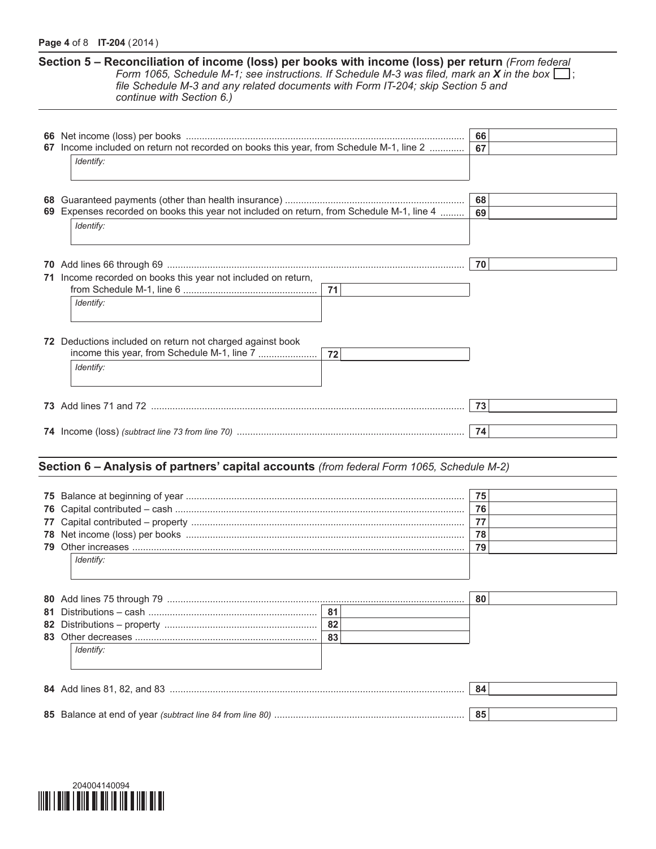#### **Page 4** of 8 **IT-204** (2014)

**Section 5 – Reconciliation of income (loss) per books with income (loss) per return** *(From federal Form* 1065, *Schedule M-1; see instructions.* If *Schedule M-3* was filed, mark an **X** in the box  $\Box$ ; *file Schedule M-3 and any related documents with Form IT-204; skip Section 5 and continue with Section 6.)*

|    |                                                                                           | 66 |
|----|-------------------------------------------------------------------------------------------|----|
|    | 67 Income included on return not recorded on books this year, from Schedule M-1, line 2   | 67 |
|    | Identify:                                                                                 |    |
|    |                                                                                           |    |
|    |                                                                                           |    |
| 68 |                                                                                           | 68 |
|    | 69 Expenses recorded on books this year not included on return, from Schedule M-1, line 4 | 69 |
|    | Identify:                                                                                 |    |
|    |                                                                                           |    |
|    |                                                                                           |    |
|    |                                                                                           | 70 |
|    | 71 Income recorded on books this year not included on return,                             |    |
|    | 71                                                                                        |    |
|    |                                                                                           |    |
|    | Identify:                                                                                 |    |
|    |                                                                                           |    |
|    |                                                                                           |    |
|    | 72 Deductions included on return not charged against book                                 |    |
|    | income this year, from Schedule M-1, line 7<br>72                                         |    |
|    | Identify:                                                                                 |    |
|    |                                                                                           |    |
|    |                                                                                           |    |
|    |                                                                                           | 73 |
|    |                                                                                           |    |
|    |                                                                                           | 74 |
|    |                                                                                           |    |
|    |                                                                                           |    |
|    | Section 6 - Analysis of partners' capital accounts (from federal Form 1065, Schedule M-2) |    |
|    |                                                                                           |    |
|    |                                                                                           | 75 |
| 76 |                                                                                           | 76 |
|    |                                                                                           | 77 |
|    |                                                                                           |    |
|    |                                                                                           | 78 |
|    |                                                                                           | 79 |
|    | Identify:                                                                                 |    |
|    |                                                                                           |    |
|    |                                                                                           |    |
|    | 80 Add lines 75 through 79                                                                | 80 |
|    | 81                                                                                        |    |
|    |                                                                                           |    |
| 82 | 82                                                                                        |    |
|    | 83                                                                                        |    |
|    | Identify:                                                                                 |    |
|    |                                                                                           |    |
|    |                                                                                           |    |
|    |                                                                                           |    |
|    |                                                                                           | 84 |
|    |                                                                                           | 85 |

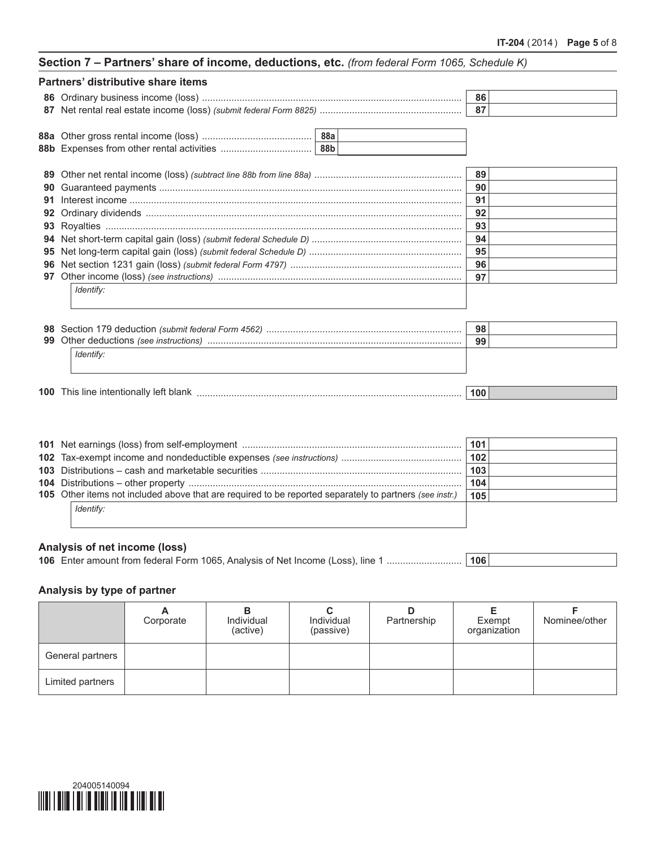| Section 7 - Partners' share of income, deductions, etc. (from federal Form 1065, Schedule K) |  |  |  |
|----------------------------------------------------------------------------------------------|--|--|--|
|----------------------------------------------------------------------------------------------|--|--|--|

|    | Partners' distributive share items |     |  |
|----|------------------------------------|-----|--|
|    |                                    | 86  |  |
| 87 |                                    | 87  |  |
|    |                                    |     |  |
|    |                                    |     |  |
| 89 |                                    | 89  |  |
| 90 |                                    | 90  |  |
| 91 |                                    | 91  |  |
| 92 |                                    | 92  |  |
|    |                                    | 93  |  |
|    |                                    | 94  |  |
| 95 |                                    | 95  |  |
|    |                                    | 96  |  |
| 97 |                                    | 97  |  |
|    | Identify:                          |     |  |
| 98 |                                    | 98  |  |
| 99 |                                    | 99  |  |
|    | Identify:                          |     |  |
|    |                                    | 100 |  |

|                                                                                                         | 101 |  |
|---------------------------------------------------------------------------------------------------------|-----|--|
|                                                                                                         |     |  |
|                                                                                                         | 103 |  |
|                                                                                                         | 104 |  |
| 105 Other items not included above that are required to be reported separately to partners (see instr.) | 105 |  |
| Identify:                                                                                               |     |  |
|                                                                                                         |     |  |

# **Analysis of net income (loss)**

| 106 Enter amount from federal Form 1065, Analysis of Net Income (Loss), line 1  106 |  |
|-------------------------------------------------------------------------------------|--|

# **Analysis by type of partner**

|                  | Corporate | Individual<br>(active) | Individual<br>(passive) | D<br>Partnership | Exempt<br>organization | Nominee/other |
|------------------|-----------|------------------------|-------------------------|------------------|------------------------|---------------|
| General partners |           |                        |                         |                  |                        |               |
| Limited partners |           |                        |                         |                  |                        |               |

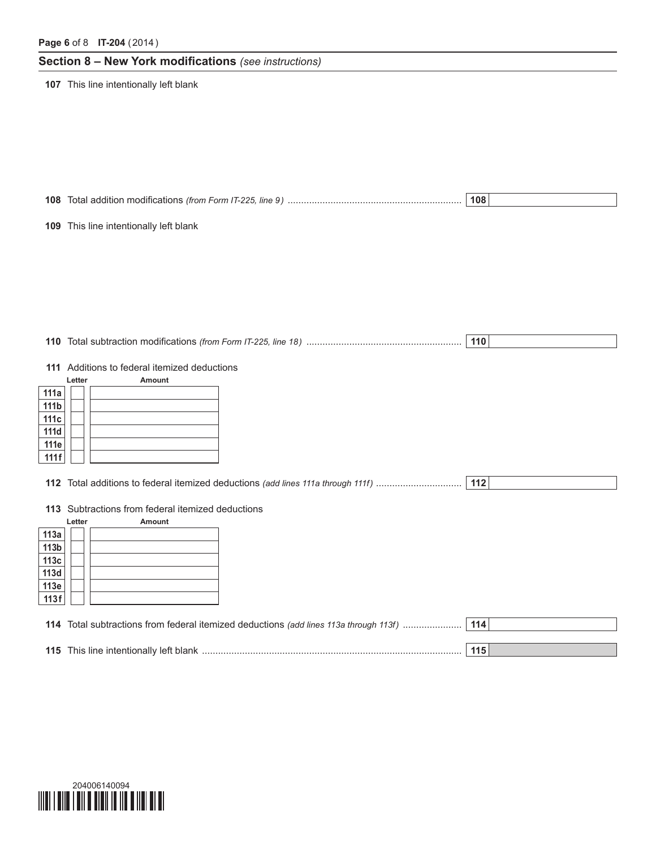# **Section 8 – New York modifications** *(see instructions)*

**107** This line intentionally left blank

**108** Total addition modifications *(from Form IT-225, line 9)* ................................................................. **108**

**109** This line intentionally left blank

| 110 Total subtraction modifications (from Form IT-225, line 18) |  |
|-----------------------------------------------------------------|--|
|                                                                 |  |

**111** Additions to federal itemized deductions

|                  | Letter | <b>Amount</b> |
|------------------|--------|---------------|
| 111a             |        |               |
| 111 <sub>b</sub> |        |               |
| 111c             |        |               |
| 111d             |        |               |
| 111e             |        |               |
| 111f             |        |               |

**112** Total additions to federal itemized deductions *(add lines 111a through 111f)* ................................ **112**

**113** Subtractions from federal itemized deductions

|      | Letter | <b>Amount</b> |
|------|--------|---------------|
| 113a |        |               |
| 113b |        |               |
| 113c |        |               |
| 113d |        |               |
| 113e |        |               |
| 113f |        |               |

| 114 Total subtractions from federal itemized deductions (add lines 113a through 113f) |     |
|---------------------------------------------------------------------------------------|-----|
|                                                                                       |     |
| <b>115</b> This line intentionally left blank                                         | 115 |

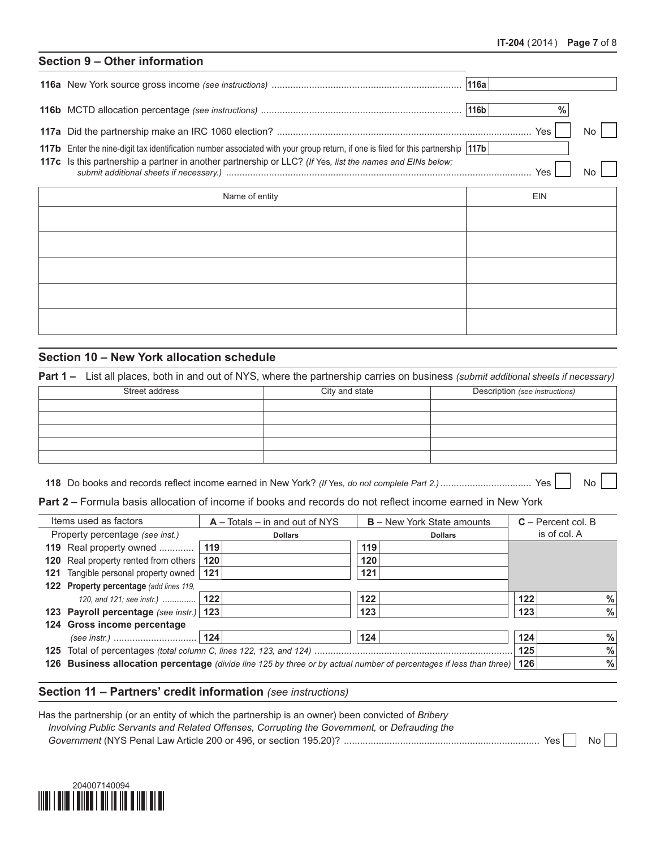# **Section 9 – Other information**

|                                                                                                                                                                                                                                               | <b>Yes</b> |  |
|-----------------------------------------------------------------------------------------------------------------------------------------------------------------------------------------------------------------------------------------------|------------|--|
| 117b Enter the nine-digit tax identification number associated with your group return, if one is filed for this partnership 117b<br>117c Is this partnership a partner in another partnership or LLC? (If Yes, list the names and EINs below; | Yes,       |  |

| Name of entity | <b>EIN</b> |
|----------------|------------|
|                |            |
|                |            |
|                |            |
|                |            |
|                |            |

# **Section 10 – New York allocation schedule**

**Part 1 –** List all places, both in and out of NYS, where the partnership carries on business *(submit additional sheets if necessary)*

| Street address | City and state | Description (see instructions) |
|----------------|----------------|--------------------------------|
|                |                |                                |
|                |                |                                |
|                |                |                                |
|                |                |                                |
|                |                |                                |

**118** Do books and records reflect income earned in New York? *(If* Yes*, do not complete Part 2.)*.................................. Yes No

**Part 2 –** Formula basis allocation of income if books and records do not reflect income earned in New York

| Items used as factors                     | $A - \text{Totals} - \text{in}$ and out of NYS | <b>B</b> – New York State amounts                                                                                         | $C -$ Percent col. B |
|-------------------------------------------|------------------------------------------------|---------------------------------------------------------------------------------------------------------------------------|----------------------|
| Property percentage (see inst.)           | <b>Dollars</b>                                 | <b>Dollars</b>                                                                                                            | is of col. A         |
| 119 Real property owned                   | 119                                            | 119                                                                                                                       |                      |
| 120 Real property rented from others      | 120                                            | 120                                                                                                                       |                      |
| 121 Tangible personal property owned      | 121                                            | 121                                                                                                                       |                      |
| 122 Property percentage (add lines 119,   |                                                |                                                                                                                           |                      |
| 120, and 121; see instr.)                 | 122                                            | 122                                                                                                                       | $\%$<br>122          |
| 123 Payroll percentage (see instr.)   123 |                                                | 123                                                                                                                       | $\frac{0}{0}$<br>123 |
| 124 Gross income percentage               |                                                |                                                                                                                           |                      |
|                                           |                                                | 124                                                                                                                       | $\frac{0}{0}$<br>124 |
|                                           |                                                |                                                                                                                           | $\frac{0}{0}$<br>125 |
|                                           |                                                | 126 Business allocation percentage (divide line 125 by three or by actual number of percentages if less than three)   126 | $\frac{0}{0}$        |
|                                           |                                                |                                                                                                                           |                      |

#### **Section 11 – Partners' credit information** *(see instructions)*

| Has the partnership (or an entity of which the partnership is an owner) been convicted of Bribery |     |    |  |
|---------------------------------------------------------------------------------------------------|-----|----|--|
| Involving Public Servants and Related Offenses, Corrupting the Government, or Defrauding the      |     |    |  |
|                                                                                                   | Yes | No |  |